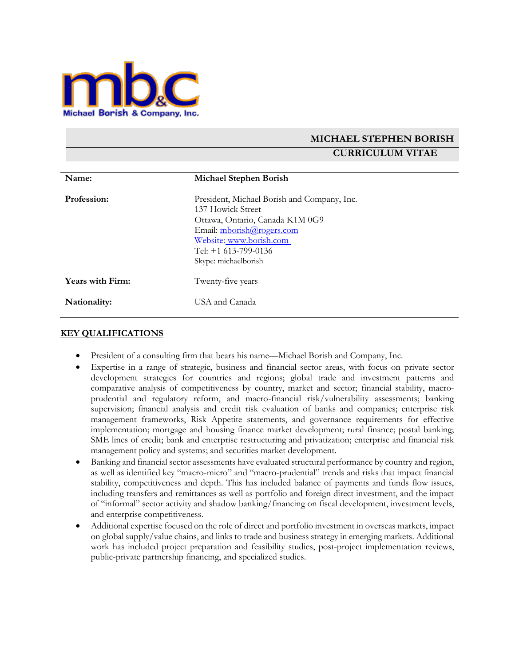

# **MICHAEL STEPHEN BORISH CURRICULUM VITAE**

| Name:                   | <b>Michael Stephen Borish</b>                                                                                                                                                                                 |
|-------------------------|---------------------------------------------------------------------------------------------------------------------------------------------------------------------------------------------------------------|
| Profession:             | President, Michael Borish and Company, Inc.<br>137 Howick Street<br>Ottawa, Ontario, Canada K1M 0G9<br>Email: mborish@rogers.com<br>Website: www.borish.com<br>Tel: $+1$ 613-799-0136<br>Skype: michaelborish |
| <b>Years with Firm:</b> | Twenty-five years                                                                                                                                                                                             |
| Nationality:            | USA and Canada                                                                                                                                                                                                |

#### **KEY QUALIFICATIONS**

- President of a consulting firm that bears his name—Michael Borish and Company, Inc.
- Expertise in a range of strategic, business and financial sector areas, with focus on private sector development strategies for countries and regions; global trade and investment patterns and comparative analysis of competitiveness by country, market and sector; financial stability, macroprudential and regulatory reform, and macro-financial risk/vulnerability assessments; banking supervision; financial analysis and credit risk evaluation of banks and companies; enterprise risk management frameworks, Risk Appetite statements, and governance requirements for effective implementation; mortgage and housing finance market development; rural finance; postal banking; SME lines of credit; bank and enterprise restructuring and privatization; enterprise and financial risk management policy and systems; and securities market development.
- Banking and financial sector assessments have evaluated structural performance by country and region, as well as identified key "macro-micro" and "macro-prudential" trends and risks that impact financial stability, competitiveness and depth. This has included balance of payments and funds flow issues, including transfers and remittances as well as portfolio and foreign direct investment, and the impact of "informal" sector activity and shadow banking/financing on fiscal development, investment levels, and enterprise competitiveness.
- Additional expertise focused on the role of direct and portfolio investment in overseas markets, impact on global supply/value chains, and links to trade and business strategy in emerging markets. Additional work has included project preparation and feasibility studies, post-project implementation reviews, public-private partnership financing, and specialized studies.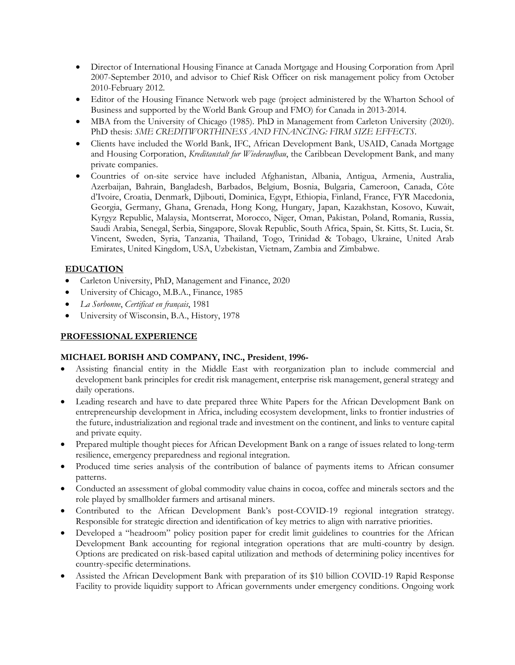- Director of International Housing Finance at Canada Mortgage and Housing Corporation from April 2007-September 2010, and advisor to Chief Risk Officer on risk management policy from October 2010-February 2012.
- Editor of the Housing Finance Network web page (project administered by the Wharton School of Business and supported by the World Bank Group and FMO) for Canada in 2013-2014.
- MBA from the University of Chicago (1985). PhD in Management from Carleton University (2020). PhD thesis: *SME CREDITWORTHINESS AND FINANCING: FIRM SIZE EFFECTS*.
- Clients have included the World Bank, IFC, African Development Bank, USAID, Canada Mortgage and Housing Corporation, *Kreditanstalt fur Wiederaufbau*, the Caribbean Development Bank, and many private companies.
- Countries of on-site service have included Afghanistan, Albania, Antigua, Armenia, Australia, Azerbaijan, Bahrain, Bangladesh, Barbados, Belgium, Bosnia, Bulgaria, Cameroon, Canada, Côte d'Ivoire, Croatia, Denmark, Djibouti, Dominica, Egypt, Ethiopia, Finland, France, FYR Macedonia, Georgia, Germany, Ghana, Grenada, Hong Kong, Hungary, Japan, Kazakhstan, Kosovo, Kuwait, Kyrgyz Republic, Malaysia, Montserrat, Morocco, Niger, Oman, Pakistan, Poland, Romania, Russia, Saudi Arabia, Senegal, Serbia, Singapore, Slovak Republic, South Africa, Spain, St. Kitts, St. Lucia, St. Vincent, Sweden, Syria, Tanzania, Thailand, Togo, Trinidad & Tobago, Ukraine, United Arab Emirates, United Kingdom, USA, Uzbekistan, Vietnam, Zambia and Zimbabwe.

### **EDUCATION**

- Carleton University, PhD, Management and Finance, 2020
- University of Chicago, M.B.A., Finance, 1985
- *La Sorbonne*, *Certificat en français*, 1981
- University of Wisconsin, B.A., History, 1978

### **PROFESSIONAL EXPERIENCE**

#### **MICHAEL BORISH AND COMPANY, INC., President**, **1996-**

- Assisting financial entity in the Middle East with reorganization plan to include commercial and development bank principles for credit risk management, enterprise risk management, general strategy and daily operations.
- Leading research and have to date prepared three White Papers for the African Development Bank on entrepreneurship development in Africa, including ecosystem development, links to frontier industries of the future, industrialization and regional trade and investment on the continent, and links to venture capital and private equity.
- Prepared multiple thought pieces for African Development Bank on a range of issues related to long-term resilience, emergency preparedness and regional integration.
- Produced time series analysis of the contribution of balance of payments items to African consumer patterns.
- Conducted an assessment of global commodity value chains in cocoa, coffee and minerals sectors and the role played by smallholder farmers and artisanal miners.
- Contributed to the African Development Bank's post-COVID-19 regional integration strategy. Responsible for strategic direction and identification of key metrics to align with narrative priorities.
- Developed a "headroom" policy position paper for credit limit guidelines to countries for the African Development Bank accounting for regional integration operations that are multi-country by design. Options are predicated on risk-based capital utilization and methods of determining policy incentives for country-specific determinations.
- Assisted the African Development Bank with preparation of its \$10 billion COVID-19 Rapid Response Facility to provide liquidity support to African governments under emergency conditions. Ongoing work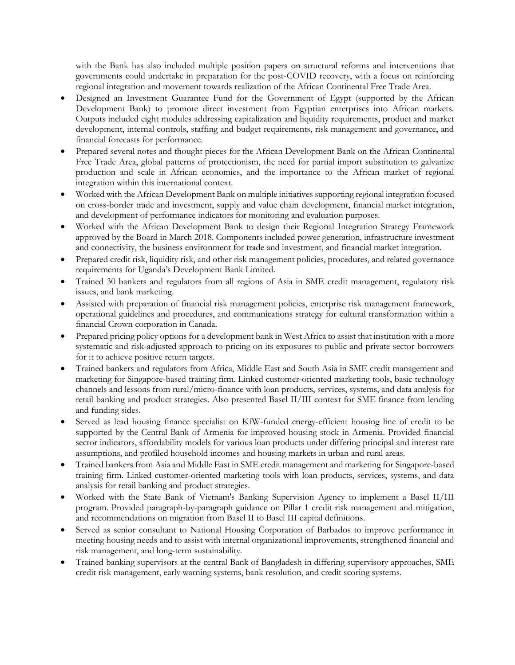with the Bank has also included multiple position papers on structural reforms and interventions that governments could undertake in preparation for the post-COVID recovery, with a focus on reinforcing regional integration and movement towards realization of the African Continental Free Trade Area.

- Designed an Investment Guarantee Fund for the Government of Egypt (supported by the African Development Bank) to promote direct investment from Egyptian enterprises into African markets. Outputs included eight modules addressing capitalization and liquidity requirements, product and market development, internal controls, staffing and budget requirements, risk management and governance, and financial forecasts for performance.
- Prepared several notes and thought pieces for the African Development Bank on the African Continental Free Trade Area, global patterns of protectionism, the need for partial import substitution to galvanize production and scale in African economies, and the importance to the African market of regional integration within this international context.
- Worked with the African Development Bank on multiple initiatives supporting regional integration focused on cross-border trade and investment, supply and value chain development, financial market integration, and development of performance indicators for monitoring and evaluation purposes.
- Worked with the African Development Bank to design their Regional Integration Strategy Framework approved by the Board in March 2018. Components included power generation, infrastructure investment and connectivity, the business environment for trade and investment, and financial market integration.
- Prepared credit risk, liquidity risk, and other risk management policies, procedures, and related governance requirements for Uganda's Development Bank Limited.
- Trained 30 bankers and regulators from all regions of Asia in SME credit management, regulatory risk issues, and bank marketing.
- Assisted with preparation of financial risk management policies, enterprise risk management framework, operational guidelines and procedures, and communications strategy for cultural transformation within a financial Crown corporation in Canada.
- Prepared pricing policy options for a development bank in West Africa to assist that institution with a more systematic and risk-adjusted approach to pricing on its exposures to public and private sector borrowers for it to achieve positive return targets.
- Trained bankers and regulators from Africa, Middle East and South Asia in SME credit management and marketing for Singapore-based training firm. Linked customer-oriented marketing tools, basic technology channels and lessons from rural/micro-finance with loan products, services, systems, and data analysis for retail banking and product strategies. Also presented Basel II/III context for SME finance from lending and funding sides.
- Served as lead housing finance specialist on KfW-funded energy-efficient housing line of credit to be supported by the Central Bank of Armenia for improved housing stock in Armenia. Provided financial sector indicators, affordability models for various loan products under differing principal and interest rate assumptions, and profiled household incomes and housing markets in urban and rural areas.
- Trained bankers from Asia and Middle East in SME credit management and marketing for Singapore-based training firm. Linked customer-oriented marketing tools with loan products, services, systems, and data analysis for retail banking and product strategies.
- Worked with the State Bank of Vietnam's Banking Supervision Agency to implement a Basel II/III program. Provided paragraph-by-paragraph guidance on Pillar 1 credit risk management and mitigation, and recommendations on migration from Basel II to Basel III capital definitions.
- Served as senior consultant to National Housing Corporation of Barbados to improve performance in meeting housing needs and to assist with internal organizational improvements, strengthened financial and risk management, and long-term sustainability.
- Trained banking supervisors at the central Bank of Bangladesh in differing supervisory approaches, SME credit risk management, early warning systems, bank resolution, and credit scoring systems.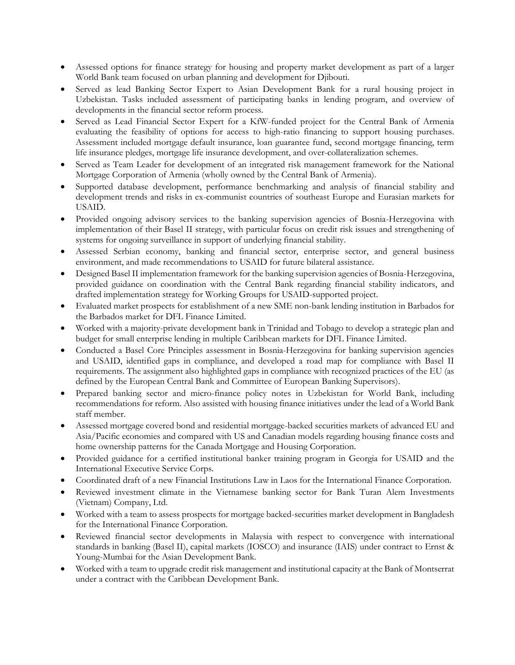- Assessed options for finance strategy for housing and property market development as part of a larger World Bank team focused on urban planning and development for Djibouti.
- Served as lead Banking Sector Expert to Asian Development Bank for a rural housing project in Uzbekistan. Tasks included assessment of participating banks in lending program, and overview of developments in the financial sector reform process.
- Served as Lead Financial Sector Expert for a KfW-funded project for the Central Bank of Armenia evaluating the feasibility of options for access to high-ratio financing to support housing purchases. Assessment included mortgage default insurance, loan guarantee fund, second mortgage financing, term life insurance pledges, mortgage life insurance development, and over-collateralization schemes.
- Served as Team Leader for development of an integrated risk management framework for the National Mortgage Corporation of Armenia (wholly owned by the Central Bank of Armenia).
- Supported database development, performance benchmarking and analysis of financial stability and development trends and risks in ex-communist countries of southeast Europe and Eurasian markets for USAID.
- Provided ongoing advisory services to the banking supervision agencies of Bosnia-Herzegovina with implementation of their Basel II strategy, with particular focus on credit risk issues and strengthening of systems for ongoing surveillance in support of underlying financial stability.
- Assessed Serbian economy, banking and financial sector, enterprise sector, and general business environment, and made recommendations to USAID for future bilateral assistance.
- Designed Basel II implementation framework for the banking supervision agencies of Bosnia-Herzegovina, provided guidance on coordination with the Central Bank regarding financial stability indicators, and drafted implementation strategy for Working Groups for USAID-supported project.
- Evaluated market prospects for establishment of a new SME non-bank lending institution in Barbados for the Barbados market for DFL Finance Limited.
- Worked with a majority-private development bank in Trinidad and Tobago to develop a strategic plan and budget for small enterprise lending in multiple Caribbean markets for DFL Finance Limited.
- Conducted a Basel Core Principles assessment in Bosnia-Herzegovina for banking supervision agencies and USAID, identified gaps in compliance, and developed a road map for compliance with Basel II requirements. The assignment also highlighted gaps in compliance with recognized practices of the EU (as defined by the European Central Bank and Committee of European Banking Supervisors).
- Prepared banking sector and micro-finance policy notes in Uzbekistan for World Bank, including recommendations for reform. Also assisted with housing finance initiatives under the lead of a World Bank staff member.
- Assessed mortgage covered bond and residential mortgage-backed securities markets of advanced EU and Asia/Pacific economies and compared with US and Canadian models regarding housing finance costs and home ownership patterns for the Canada Mortgage and Housing Corporation.
- Provided guidance for a certified institutional banker training program in Georgia for USAID and the International Executive Service Corps.
- Coordinated draft of a new Financial Institutions Law in Laos for the International Finance Corporation.
- Reviewed investment climate in the Vietnamese banking sector for Bank Turan Alem Investments (Vietnam) Company, Ltd.
- Worked with a team to assess prospects for mortgage backed-securities market development in Bangladesh for the International Finance Corporation.
- Reviewed financial sector developments in Malaysia with respect to convergence with international standards in banking (Basel II), capital markets (IOSCO) and insurance (IAIS) under contract to Ernst & Young-Mumbai for the Asian Development Bank.
- Worked with a team to upgrade credit risk management and institutional capacity at the Bank of Montserrat under a contract with the Caribbean Development Bank.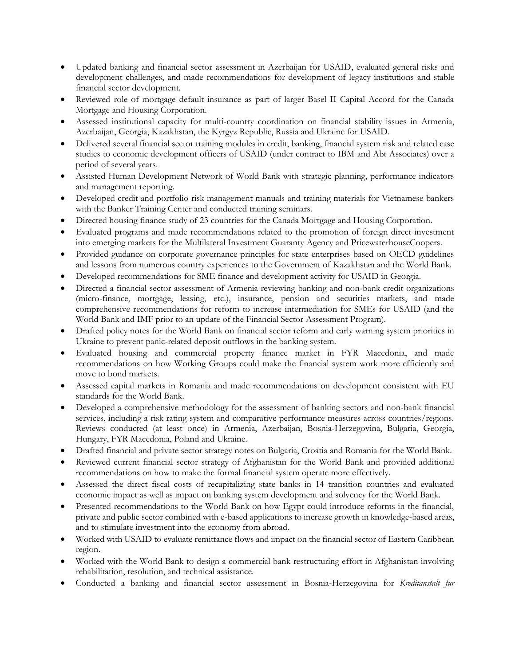- Updated banking and financial sector assessment in Azerbaijan for USAID, evaluated general risks and development challenges, and made recommendations for development of legacy institutions and stable financial sector development.
- Reviewed role of mortgage default insurance as part of larger Basel II Capital Accord for the Canada Mortgage and Housing Corporation.
- Assessed institutional capacity for multi-country coordination on financial stability issues in Armenia, Azerbaijan, Georgia, Kazakhstan, the Kyrgyz Republic, Russia and Ukraine for USAID.
- Delivered several financial sector training modules in credit, banking, financial system risk and related case studies to economic development officers of USAID (under contract to IBM and Abt Associates) over a period of several years.
- Assisted Human Development Network of World Bank with strategic planning, performance indicators and management reporting.
- Developed credit and portfolio risk management manuals and training materials for Vietnamese bankers with the Banker Training Center and conducted training seminars.
- Directed housing finance study of 23 countries for the Canada Mortgage and Housing Corporation.
- Evaluated programs and made recommendations related to the promotion of foreign direct investment into emerging markets for the Multilateral Investment Guaranty Agency and PricewaterhouseCoopers.
- Provided guidance on corporate governance principles for state enterprises based on OECD guidelines and lessons from numerous country experiences to the Government of Kazakhstan and the World Bank.
- Developed recommendations for SME finance and development activity for USAID in Georgia.
- Directed a financial sector assessment of Armenia reviewing banking and non-bank credit organizations (micro-finance, mortgage, leasing, etc.), insurance, pension and securities markets, and made comprehensive recommendations for reform to increase intermediation for SMEs for USAID (and the World Bank and IMF prior to an update of the Financial Sector Assessment Program).
- Drafted policy notes for the World Bank on financial sector reform and early warning system priorities in Ukraine to prevent panic-related deposit outflows in the banking system.
- Evaluated housing and commercial property finance market in FYR Macedonia, and made recommendations on how Working Groups could make the financial system work more efficiently and move to bond markets.
- Assessed capital markets in Romania and made recommendations on development consistent with EU standards for the World Bank.
- Developed a comprehensive methodology for the assessment of banking sectors and non-bank financial services, including a risk rating system and comparative performance measures across countries/regions. Reviews conducted (at least once) in Armenia, Azerbaijan, Bosnia-Herzegovina, Bulgaria, Georgia, Hungary, FYR Macedonia, Poland and Ukraine.
- Drafted financial and private sector strategy notes on Bulgaria, Croatia and Romania for the World Bank.
- Reviewed current financial sector strategy of Afghanistan for the World Bank and provided additional recommendations on how to make the formal financial system operate more effectively.
- Assessed the direct fiscal costs of recapitalizing state banks in 14 transition countries and evaluated economic impact as well as impact on banking system development and solvency for the World Bank.
- Presented recommendations to the World Bank on how Egypt could introduce reforms in the financial, private and public sector combined with e-based applications to increase growth in knowledge-based areas, and to stimulate investment into the economy from abroad.
- Worked with USAID to evaluate remittance flows and impact on the financial sector of Eastern Caribbean region.
- Worked with the World Bank to design a commercial bank restructuring effort in Afghanistan involving rehabilitation, resolution, and technical assistance.
- Conducted a banking and financial sector assessment in Bosnia-Herzegovina for *Kreditanstalt fur*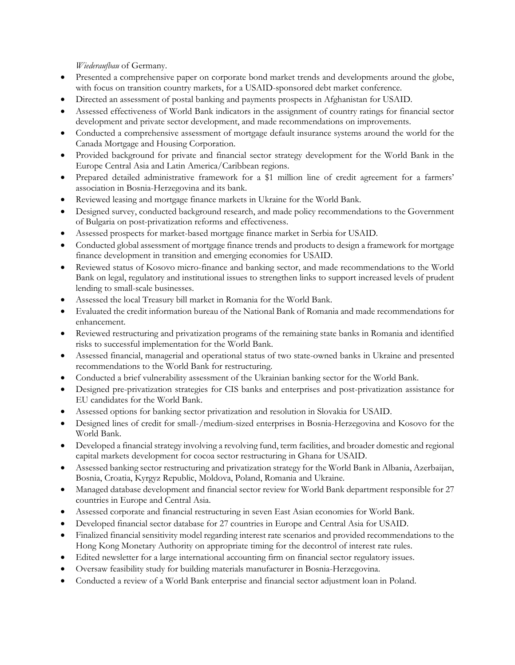*Wiederaufbau* of Germany.

- Presented a comprehensive paper on corporate bond market trends and developments around the globe, with focus on transition country markets, for a USAID-sponsored debt market conference.
- Directed an assessment of postal banking and payments prospects in Afghanistan for USAID.
- Assessed effectiveness of World Bank indicators in the assignment of country ratings for financial sector development and private sector development, and made recommendations on improvements.
- Conducted a comprehensive assessment of mortgage default insurance systems around the world for the Canada Mortgage and Housing Corporation.
- Provided background for private and financial sector strategy development for the World Bank in the Europe Central Asia and Latin America/Caribbean regions.
- Prepared detailed administrative framework for a \$1 million line of credit agreement for a farmers' association in Bosnia-Herzegovina and its bank.
- Reviewed leasing and mortgage finance markets in Ukraine for the World Bank.
- Designed survey, conducted background research, and made policy recommendations to the Government of Bulgaria on post-privatization reforms and effectiveness.
- Assessed prospects for market-based mortgage finance market in Serbia for USAID.
- Conducted global assessment of mortgage finance trends and products to design a framework for mortgage finance development in transition and emerging economies for USAID.
- Reviewed status of Kosovo micro-finance and banking sector, and made recommendations to the World Bank on legal, regulatory and institutional issues to strengthen links to support increased levels of prudent lending to small-scale businesses.
- Assessed the local Treasury bill market in Romania for the World Bank.
- Evaluated the credit information bureau of the National Bank of Romania and made recommendations for enhancement.
- Reviewed restructuring and privatization programs of the remaining state banks in Romania and identified risks to successful implementation for the World Bank.
- Assessed financial, managerial and operational status of two state-owned banks in Ukraine and presented recommendations to the World Bank for restructuring.
- Conducted a brief vulnerability assessment of the Ukrainian banking sector for the World Bank.
- Designed pre-privatization strategies for CIS banks and enterprises and post-privatization assistance for EU candidates for the World Bank.
- Assessed options for banking sector privatization and resolution in Slovakia for USAID.
- Designed lines of credit for small-/medium-sized enterprises in Bosnia-Herzegovina and Kosovo for the World Bank.
- Developed a financial strategy involving a revolving fund, term facilities, and broader domestic and regional capital markets development for cocoa sector restructuring in Ghana for USAID.
- Assessed banking sector restructuring and privatization strategy for the World Bank in Albania, Azerbaijan, Bosnia, Croatia, Kyrgyz Republic, Moldova, Poland, Romania and Ukraine.
- Managed database development and financial sector review for World Bank department responsible for 27 countries in Europe and Central Asia.
- Assessed corporate and financial restructuring in seven East Asian economies for World Bank.
- Developed financial sector database for 27 countries in Europe and Central Asia for USAID.
- Finalized financial sensitivity model regarding interest rate scenarios and provided recommendations to the Hong Kong Monetary Authority on appropriate timing for the decontrol of interest rate rules.
- Edited newsletter for a large international accounting firm on financial sector regulatory issues.
- Oversaw feasibility study for building materials manufacturer in Bosnia-Herzegovina.
- Conducted a review of a World Bank enterprise and financial sector adjustment loan in Poland.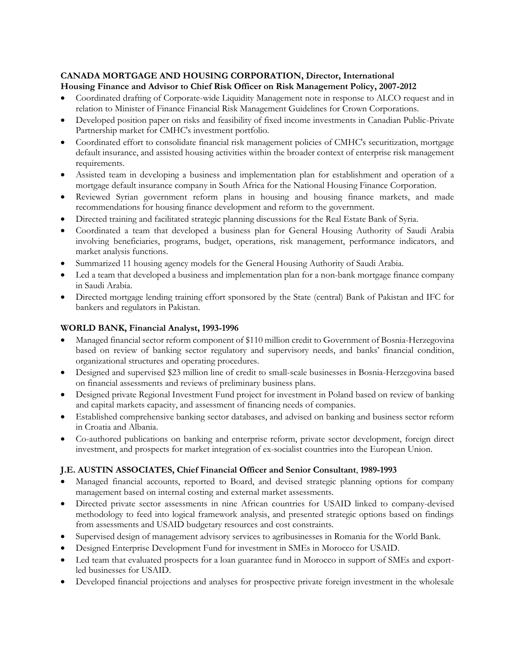# **CANADA MORTGAGE AND HOUSING CORPORATION, Director, International**

# **Housing Finance and Advisor to Chief Risk Officer on Risk Management Policy, 2007-2012**

- Coordinated drafting of Corporate-wide Liquidity Management note in response to ALCO request and in relation to Minister of Finance Financial Risk Management Guidelines for Crown Corporations.
- Developed position paper on risks and feasibility of fixed income investments in Canadian Public-Private Partnership market for CMHC's investment portfolio.
- Coordinated effort to consolidate financial risk management policies of CMHC's securitization, mortgage default insurance, and assisted housing activities within the broader context of enterprise risk management requirements.
- Assisted team in developing a business and implementation plan for establishment and operation of a mortgage default insurance company in South Africa for the National Housing Finance Corporation.
- Reviewed Syrian government reform plans in housing and housing finance markets, and made recommendations for housing finance development and reform to the government.
- Directed training and facilitated strategic planning discussions for the Real Estate Bank of Syria.
- Coordinated a team that developed a business plan for General Housing Authority of Saudi Arabia involving beneficiaries, programs, budget, operations, risk management, performance indicators, and market analysis functions.
- Summarized 11 housing agency models for the General Housing Authority of Saudi Arabia.
- Led a team that developed a business and implementation plan for a non-bank mortgage finance company in Saudi Arabia.
- Directed mortgage lending training effort sponsored by the State (central) Bank of Pakistan and IFC for bankers and regulators in Pakistan.

# **WORLD BANK, Financial Analyst, 1993-1996**

- Managed financial sector reform component of \$110 million credit to Government of Bosnia-Herzegovina based on review of banking sector regulatory and supervisory needs, and banks' financial condition, organizational structures and operating procedures.
- Designed and supervised \$23 million line of credit to small-scale businesses in Bosnia-Herzegovina based on financial assessments and reviews of preliminary business plans.
- Designed private Regional Investment Fund project for investment in Poland based on review of banking and capital markets capacity, and assessment of financing needs of companies.
- Established comprehensive banking sector databases, and advised on banking and business sector reform in Croatia and Albania.
- Co-authored publications on banking and enterprise reform, private sector development, foreign direct investment, and prospects for market integration of ex-socialist countries into the European Union.

### **J.E. AUSTIN ASSOCIATES, Chief Financial Officer and Senior Consultant**, **1989-1993**

- Managed financial accounts, reported to Board, and devised strategic planning options for company management based on internal costing and external market assessments.
- Directed private sector assessments in nine African countries for USAID linked to company-devised methodology to feed into logical framework analysis, and presented strategic options based on findings from assessments and USAID budgetary resources and cost constraints.
- Supervised design of management advisory services to agribusinesses in Romania for the World Bank.
- Designed Enterprise Development Fund for investment in SMEs in Morocco for USAID.
- Led team that evaluated prospects for a loan guarantee fund in Morocco in support of SMEs and exportled businesses for USAID.
- Developed financial projections and analyses for prospective private foreign investment in the wholesale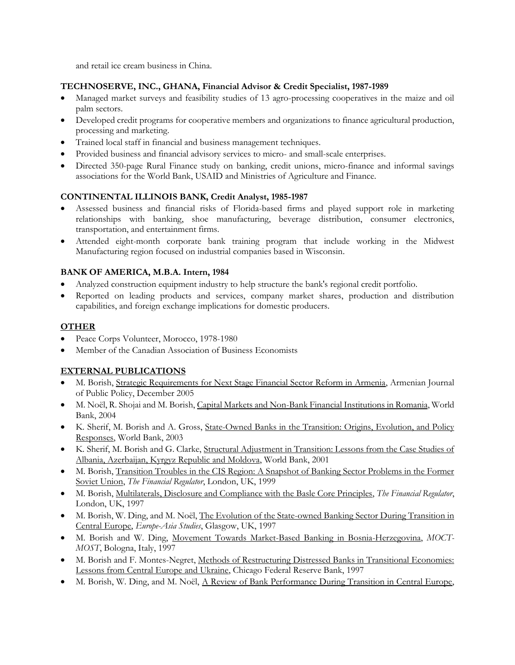and retail ice cream business in China.

### **TECHNOSERVE, INC., GHANA, Financial Advisor & Credit Specialist, 1987-1989**

- Managed market surveys and feasibility studies of 13 agro-processing cooperatives in the maize and oil palm sectors.
- Developed credit programs for cooperative members and organizations to finance agricultural production, processing and marketing.
- Trained local staff in financial and business management techniques.
- Provided business and financial advisory services to micro- and small-scale enterprises.
- Directed 350-page Rural Finance study on banking, credit unions, micro-finance and informal savings associations for the World Bank, USAID and Ministries of Agriculture and Finance.

### **CONTINENTAL ILLINOIS BANK, Credit Analyst, 1985-1987**

- Assessed business and financial risks of Florida-based firms and played support role in marketing relationships with banking, shoe manufacturing, beverage distribution, consumer electronics, transportation, and entertainment firms.
- Attended eight-month corporate bank training program that include working in the Midwest Manufacturing region focused on industrial companies based in Wisconsin.

### **BANK OF AMERICA, M.B.A. Intern, 1984**

- Analyzed construction equipment industry to help structure the bank's regional credit portfolio.
- Reported on leading products and services, company market shares, production and distribution capabilities, and foreign exchange implications for domestic producers.

#### **OTHER**

- Peace Corps Volunteer, Morocco, 1978-1980
- Member of the Canadian Association of Business Economists

### **EXTERNAL PUBLICATIONS**

- M. Borish, Strategic Requirements for Next Stage Financial Sector Reform in Armenia, Armenian Journal of Public Policy, December 2005
- M. Noël, R. Shojai and M. Borish, Capital Markets and Non-Bank Financial Institutions in Romania, World Bank, 2004
- K. Sherif, M. Borish and A. Gross, State-Owned Banks in the Transition: Origins, Evolution, and Policy Responses, World Bank, 2003
- K. Sherif, M. Borish and G. Clarke, Structural Adjustment in Transition: Lessons from the Case Studies of Albania, Azerbaijan, Kyrgyz Republic and Moldova, World Bank, 2001
- M. Borish, Transition Troubles in the CIS Region: A Snapshot of Banking Sector Problems in the Former Soviet Union, *The Financial Regulator*, London, UK, 1999
- M. Borish, Multilaterals, Disclosure and Compliance with the Basle Core Principles, *The Financial Regulator*, London, UK, 1997
- M. Borish, W. Ding, and M. Noël, The Evolution of the State-owned Banking Sector During Transition in Central Europe, *Europe-Asia Studies*, Glasgow, UK, 1997
- M. Borish and W. Ding, Movement Towards Market-Based Banking in Bosnia-Herzegovina, *MOCT-MOST*, Bologna, Italy, 1997
- M. Borish and F. Montes-Negret, Methods of Restructuring Distressed Banks in Transitional Economies: Lessons from Central Europe and Ukraine, Chicago Federal Reserve Bank, 1997
- M. Borish, W. Ding, and M. Noël, A Review of Bank Performance During Transition in Central Europe,